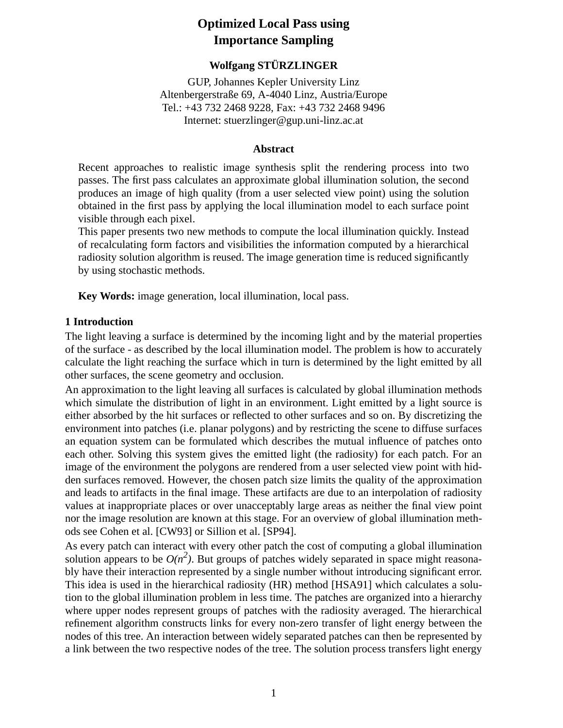# **Optimized Local Pass using Importance Sampling**

# **Wolfgang STÜRZLINGER**

GUP, Johannes Kepler University Linz Altenbergerstraße 69, A-4040 Linz, Austria/Europe Tel.: +43 732 2468 9228, Fax: +43 732 2468 9496 Internet: stuerzlinger@gup.uni-linz.ac.at

### **Abstract**

Recent approaches to realistic image synthesis split the rendering process into two passes. The first pass calculates an approximate global illumination solution, the second produces an image of high quality (from a user selected view point) using the solution obtained in the first pass by applying the local illumination model to each surface point visible through each pixel.

This paper presents two new methods to compute the local illumination quickly. Instead of recalculating form factors and visibilities the information computed by a hierarchical radiosity solution algorithm is reused. The image generation time is reduced significantly by using stochastic methods.

**Key Words:** image generation, local illumination, local pass.

## **1 Introduction**

The light leaving a surface is determined by the incoming light and by the material properties of the surface - as described by the local illumination model. The problem is how to accurately calculate the light reaching the surface which in turn is determined by the light emitted by all other surfaces, the scene geometry and occlusion.

An approximation to the light leaving all surfaces is calculated by global illumination methods which simulate the distribution of light in an environment. Light emitted by a light source is either absorbed by the hit surfaces or reflected to other surfaces and so on. By discretizing the environment into patches (i.e. planar polygons) and by restricting the scene to diffuse surfaces an equation system can be formulated which describes the mutual influence of patches onto each other. Solving this system gives the emitted light (the radiosity) for each patch. For an image of the environment the polygons are rendered from a user selected view point with hidden surfaces removed. However, the chosen patch size limits the quality of the approximation and leads to artifacts in the final image. These artifacts are due to an interpolation of radiosity values at inappropriate places or over unacceptably large areas as neither the final view point nor the image resolution are known at this stage. For an overview of global illumination methods see Cohen et al. [CW93] or Sillion et al. [SP94].

As every patch can interact with every other patch the cost of computing a global illumination solution appears to be  $O(n^2)$ . But groups of patches widely separated in space might reasonably have their interaction represented by a single number without introducing significant error. This idea is used in the hierarchical radiosity (HR) method [HSA91] which calculates a solution to the global illumination problem in less time. The patches are organized into a hierarchy where upper nodes represent groups of patches with the radiosity averaged. The hierarchical refinement algorithm constructs links for every non-zero transfer of light energy between the nodes of this tree. An interaction between widely separated patches can then be represented by a link between the two respective nodes of the tree. The solution process transfers light energy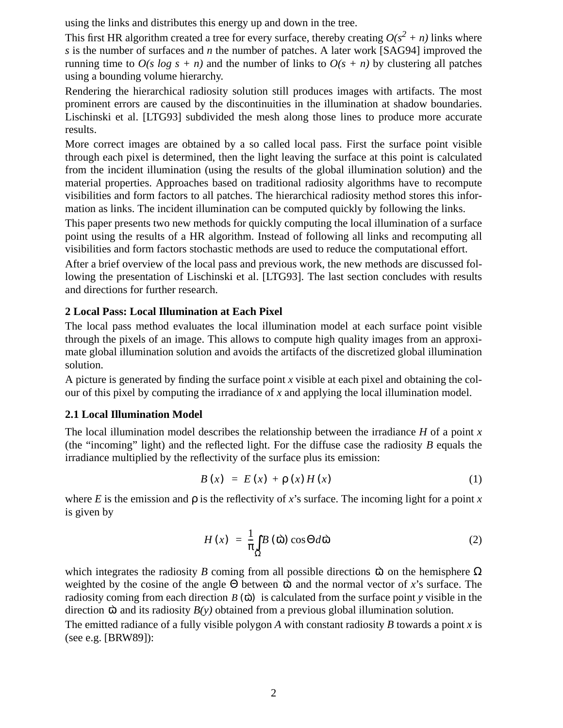using the links and distributes this energy up and down in the tree.

This first HR algorithm created a tree for every surface, thereby creating  $O(s^2 + n)$  links where *s* is the number of surfaces and *n* the number of patches. A later work [SAG94] improved the running time to  $O(s \log s + n)$  and the number of links to  $O(s + n)$  by clustering all patches using a bounding volume hierarchy.

Rendering the hierarchical radiosity solution still produces images with artifacts. The most prominent errors are caused by the discontinuities in the illumination at shadow boundaries. Lischinski et al. [LTG93] subdivided the mesh along those lines to produce more accurate results.

More correct images are obtained by a so called local pass. First the surface point visible through each pixel is determined, then the light leaving the surface at this point is calculated from the incident illumination (using the results of the global illumination solution) and the material properties. Approaches based on traditional radiosity algorithms have to recompute visibilities and form factors to all patches. The hierarchical radiosity method stores this information as links. The incident illumination can be computed quickly by following the links.

This paper presents two new methods for quickly computing the local illumination of a surface point using the results of a HR algorithm. Instead of following all links and recomputing all visibilities and form factors stochastic methods are used to reduce the computational effort.

After a brief overview of the local pass and previous work, the new methods are discussed following the presentation of Lischinski et al. [LTG93]. The last section concludes with results and directions for further research.

# **2 Local Pass: Local Illumination at Each Pixel**

The local pass method evaluates the local illumination model at each surface point visible through the pixels of an image. This allows to compute high quality images from an approximate global illumination solution and avoids the artifacts of the discretized global illumination solution.

A picture is generated by finding the surface point *x* visible at each pixel and obtaining the colour of this pixel by computing the irradiance of *x* and applying the local illumination model.

# **2.1 Local Illumination Model**

The local illumination model describes the relationship between the irradiance *H* of a point *x* (the "incoming" light) and the reflected light. For the diffuse case the radiosity *B* equals the irradiance multiplied by the reflectivity of the surface plus its emission:

$$
B(x) = E(x) + \rho(x)H(x)
$$
 (1)

where *E* is the emission and  $\rho$  is the reflectivity of *x*'s surface. The incoming light for a point *x* is given by

$$
H(x) = \frac{1}{\pi} \int_{\Omega} B(\vec{\omega}) \cos \Theta d\vec{\omega}
$$
 (2)

which integrates the radiosity *B* coming from all possible directions  $\vec{\omega}$  on the hemisphere  $\Omega$ weighted by the cosine of the angle  $\Theta$  between  $\overrightarrow{\omega}$  and the normal vector of x's surface. The radiosity coming from each direction  $B(\vec{\omega})$  is calculated from the surface point *y* visible in the direction  $\vec{\omega}$  and its radiosity  $B(y)$  obtained from a previous global illumination solution.

The emitted radiance of a fully visible polygon *A* with constant radiosity *B* towards a point *x* is (see e.g. [BRW89]):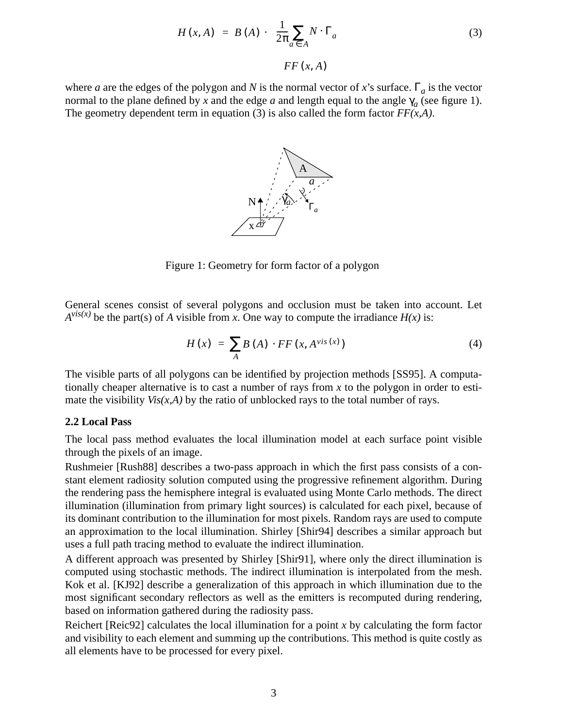$$
H(x, A) = B(A) \cdot \underbrace{\frac{1}{2\pi} \sum_{a \in A} N \cdot \Gamma_a}_{FF(x, A)}
$$
(3)

where *a* are the edges of the polygon and *N* is the normal vector of *x*'s surface.  $\Gamma_a$  is the vector normal to the plane defined by *x* and the edge *a* and length equal to the angle  $\gamma_a$  (see figure 1). The geometry dependent term in equation (3) is also called the form factor  $FF(x,A)$ .



Figure 1: Geometry for form factor of a polygon

General scenes consist of several polygons and occlusion must be taken into account. Let  $A^{vis(x)}$  be the part(s) of *A* visible from *x*. One way to compute the irradiance *H(x)* is:

$$
H(x) = \sum_{A} B(A) \cdot FF(x, A^{\text{vis}}(x)) \tag{4}
$$

The visible parts of all polygons can be identified by projection methods [SS95]. A computationally cheaper alternative is to cast a number of rays from *x* to the polygon in order to estimate the visibility  $Vis(x, A)$  by the ratio of unblocked rays to the total number of rays.

#### **2.2 Local Pass**

The local pass method evaluates the local illumination model at each surface point visible through the pixels of an image.

Rushmeier [Rush88] describes a two-pass approach in which the first pass consists of a constant element radiosity solution computed using the progressive refinement algorithm. During the rendering pass the hemisphere integral is evaluated using Monte Carlo methods. The direct illumination (illumination from primary light sources) is calculated for each pixel, because of its dominant contribution to the illumination for most pixels. Random rays are used to compute an approximation to the local illumination. Shirley [Shir94] describes a similar approach but uses a full path tracing method to evaluate the indirect illumination.

A different approach was presented by Shirley [Shir91], where only the direct illumination is computed using stochastic methods. The indirect illumination is interpolated from the mesh. Kok et al. [KJ92] describe a generalization of this approach in which illumination due to the most significant secondary reflectors as well as the emitters is recomputed during rendering, based on information gathered during the radiosity pass.

Reichert [Reic92] calculates the local illumination for a point *x* by calculating the form factor and visibility to each element and summing up the contributions. This method is quite costly as all elements have to be processed for every pixel.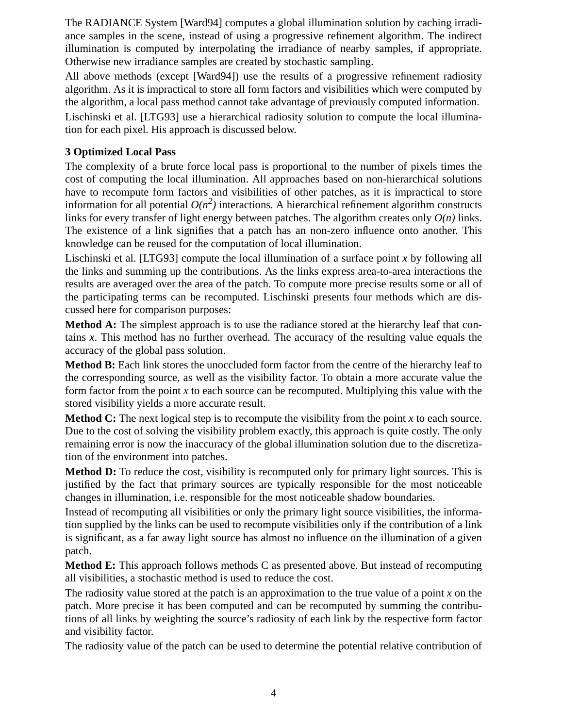The RADIANCE System [Ward94] computes a global illumination solution by caching irradiance samples in the scene, instead of using a progressive refinement algorithm. The indirect illumination is computed by interpolating the irradiance of nearby samples, if appropriate. Otherwise new irradiance samples are created by stochastic sampling.

All above methods (except [Ward94]) use the results of a progressive refinement radiosity algorithm. As it is impractical to store all form factors and visibilities which were computed by the algorithm, a local pass method cannot take advantage of previously computed information.

Lischinski et al. [LTG93] use a hierarchical radiosity solution to compute the local illumination for each pixel. His approach is discussed below.

# **3 Optimized Local Pass**

The complexity of a brute force local pass is proportional to the number of pixels times the cost of computing the local illumination. All approaches based on non-hierarchical solutions have to recompute form factors and visibilities of other patches, as it is impractical to store information for all potential  $O(n^2)$  interactions. A hierarchical refinement algorithm constructs links for every transfer of light energy between patches. The algorithm creates only *O(n)* links. The existence of a link signifies that a patch has an non-zero influence onto another. This knowledge can be reused for the computation of local illumination.

Lischinski et al. [LTG93] compute the local illumination of a surface point *x* by following all the links and summing up the contributions. As the links express area-to-area interactions the results are averaged over the area of the patch. To compute more precise results some or all of the participating terms can be recomputed. Lischinski presents four methods which are discussed here for comparison purposes:

**Method A:** The simplest approach is to use the radiance stored at the hierarchy leaf that contains *x*. This method has no further overhead. The accuracy of the resulting value equals the accuracy of the global pass solution.

**Method B:** Each link stores the unoccluded form factor from the centre of the hierarchy leaf to the corresponding source, as well as the visibility factor. To obtain a more accurate value the form factor from the point *x* to each source can be recomputed. Multiplying this value with the stored visibility yields a more accurate result.

**Method C:** The next logical step is to recompute the visibility from the point *x* to each source. Due to the cost of solving the visibility problem exactly, this approach is quite costly. The only remaining error is now the inaccuracy of the global illumination solution due to the discretization of the environment into patches.

**Method D:** To reduce the cost, visibility is recomputed only for primary light sources. This is justified by the fact that primary sources are typically responsible for the most noticeable changes in illumination, i.e. responsible for the most noticeable shadow boundaries.

Instead of recomputing all visibilities or only the primary light source visibilities, the information supplied by the links can be used to recompute visibilities only if the contribution of a link is significant, as a far away light source has almost no influence on the illumination of a given patch.

**Method E:** This approach follows methods C as presented above. But instead of recomputing all visibilities, a stochastic method is used to reduce the cost.

The radiosity value stored at the patch is an approximation to the true value of a point *x* on the patch. More precise it has been computed and can be recomputed by summing the contributions of all links by weighting the source's radiosity of each link by the respective form factor and visibility factor.

The radiosity value of the patch can be used to determine the potential relative contribution of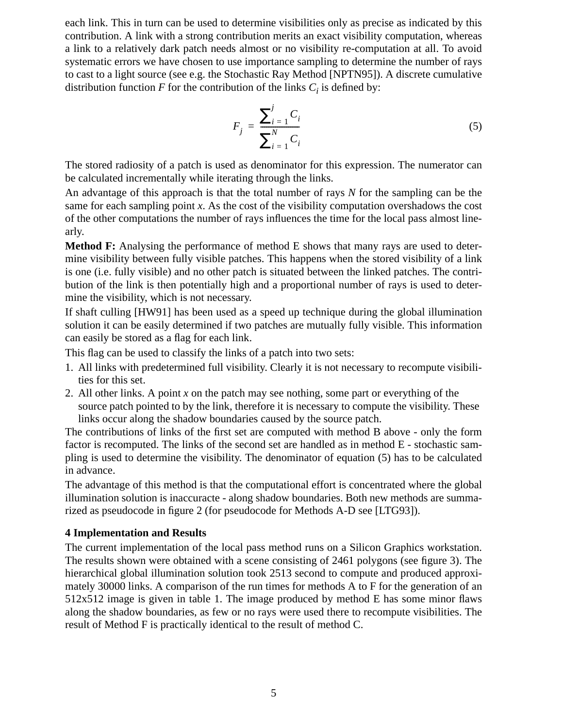each link. This in turn can be used to determine visibilities only as precise as indicated by this contribution. A link with a strong contribution merits an exact visibility computation, whereas a link to a relatively dark patch needs almost or no visibility re-computation at all. To avoid systematic errors we have chosen to use importance sampling to determine the number of rays to cast to a light source (see e.g. the Stochastic Ray Method [NPTN95]). A discrete cumulative distribution function  $F$  for the contribution of the links  $C_i$  is defined by:

$$
F_j = \frac{\sum_{i=1}^{j} C_i}{\sum_{i=1}^{N} C_i}
$$
 (5)

The stored radiosity of a patch is used as denominator for this expression. The numerator can be calculated incrementally while iterating through the links.

An advantage of this approach is that the total number of rays *N* for the sampling can be the same for each sampling point *x*. As the cost of the visibility computation overshadows the cost of the other computations the number of rays influences the time for the local pass almost linearly.

**Method F:** Analysing the performance of method E shows that many rays are used to determine visibility between fully visible patches. This happens when the stored visibility of a link is one (i.e. fully visible) and no other patch is situated between the linked patches. The contribution of the link is then potentially high and a proportional number of rays is used to determine the visibility, which is not necessary.

If shaft culling [HW91] has been used as a speed up technique during the global illumination solution it can be easily determined if two patches are mutually fully visible. This information can easily be stored as a flag for each link.

This flag can be used to classify the links of a patch into two sets:

- 1. All links with predetermined full visibility. Clearly it is not necessary to recompute visibilities for this set.
- 2. All other links. A point *x* on the patch may see nothing, some part or everything of the source patch pointed to by the link, therefore it is necessary to compute the visibility. These links occur along the shadow boundaries caused by the source patch.

The contributions of links of the first set are computed with method B above - only the form factor is recomputed. The links of the second set are handled as in method E - stochastic sampling is used to determine the visibility. The denominator of equation (5) has to be calculated in advance.

The advantage of this method is that the computational effort is concentrated where the global illumination solution is inaccuracte - along shadow boundaries. Both new methods are summarized as pseudocode in figure 2 (for pseudocode for Methods A-D see [LTG93]).

### **4 Implementation and Results**

The current implementation of the local pass method runs on a Silicon Graphics workstation. The results shown were obtained with a scene consisting of 2461 polygons (see figure 3). The hierarchical global illumination solution took 2513 second to compute and produced approximately 30000 links. A comparison of the run times for methods A to F for the generation of an 512x512 image is given in table 1. The image produced by method E has some minor flaws along the shadow boundaries, as few or no rays were used there to recompute visibilities. The result of Method F is practically identical to the result of method C.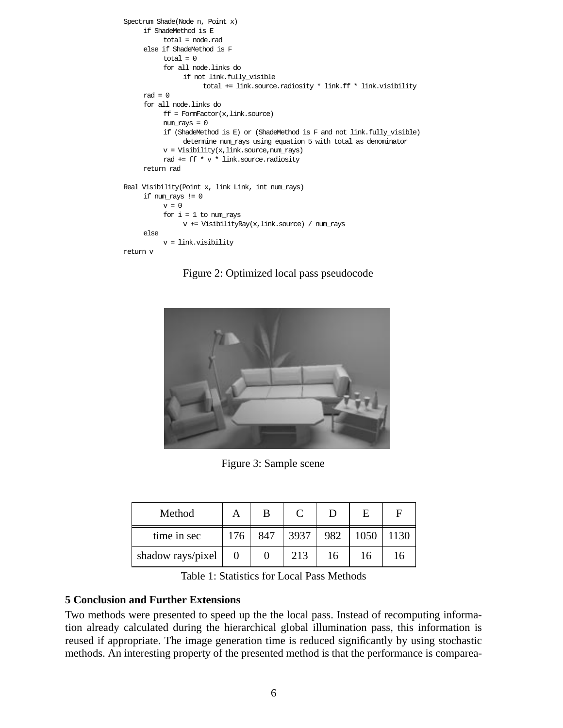```
Spectrum Shade(Node n, Point x)
     if ShadeMethod is E
          total = node.rad
     else if ShadeMethod is F
           total = 0for all node.links do
                if not link.fully_visible
                      total += link.source.radiosity * link.ff * link.visibility
     rad = 0for all node.links do
           ff = FormFactor(x,link, source)num_rays = 0
           if (ShadeMethod is E) or (ShadeMethod is F and not link.fully_visible)
                determine num_rays using equation 5 with total as denominator
           v = \text{Visibility}(x, \text{link}.\text{source}, \text{num\_rays})rad += ff * v * link.source.radiosity
     return rad
Real Visibility(Point x, link Link, int num_rays)
     if num_rays != 0
          v = 0for i = 1 to num\_raysv += VisibilityRay(x,link.source) / num_rays
     else
           v = link.visibility
return v
```
Figure 2: Optimized local pass pseudocode



Figure 3: Sample scene

| Method            | А   | B   |      |     | E    | F    |
|-------------------|-----|-----|------|-----|------|------|
| time in sec       | 176 | 847 | 3937 | 982 | 1050 | 1130 |
| shadow rays/pixel |     |     | 213  | 16  | 16   | 16   |

Table 1: Statistics for Local Pass Methods

### **5 Conclusion and Further Extensions**

Two methods were presented to speed up the the local pass. Instead of recomputing information already calculated during the hierarchical global illumination pass, this information is reused if appropriate. The image generation time is reduced significantly by using stochastic methods. An interesting property of the presented method is that the performance is comparea